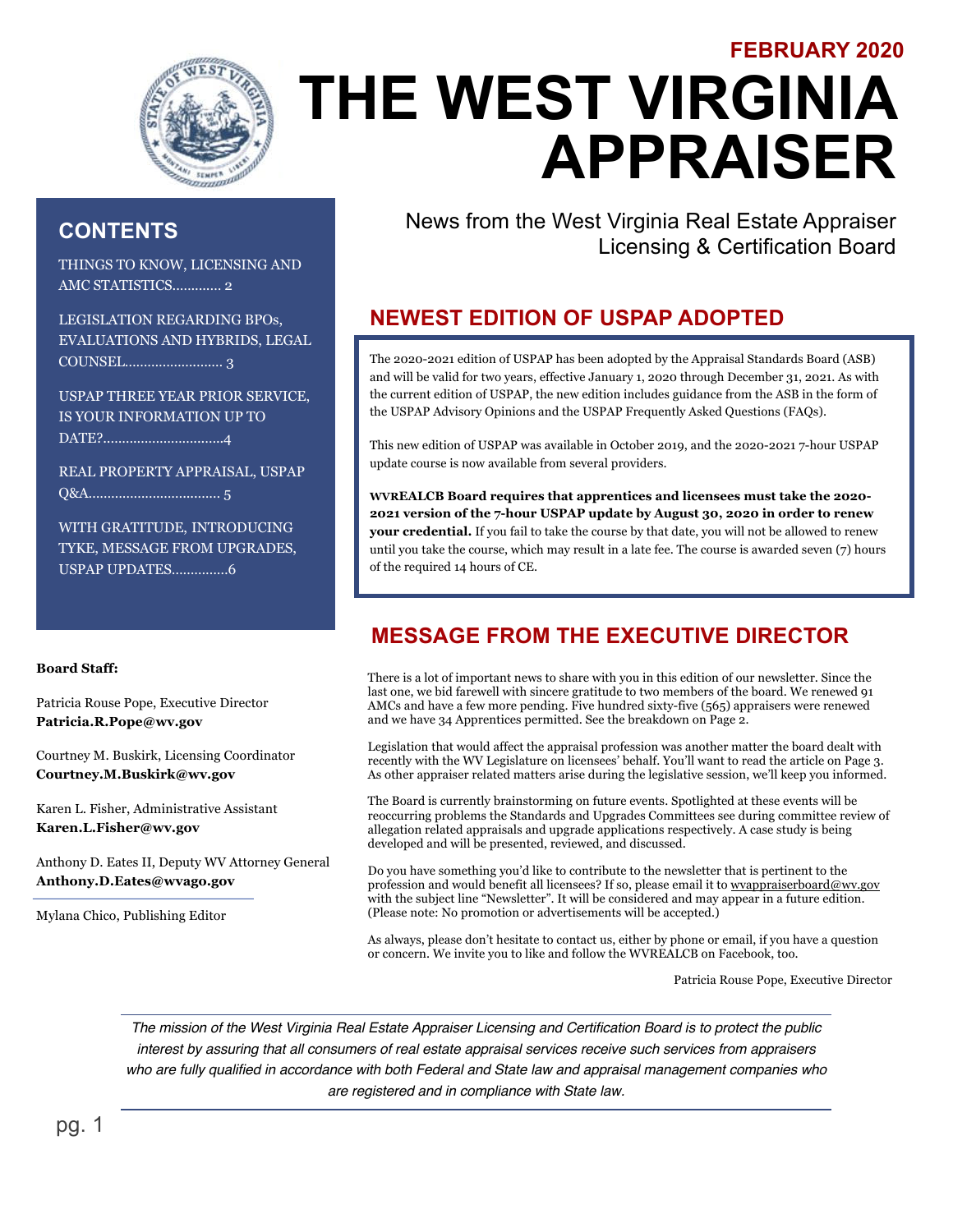### **FEBRUARY 2020**



# **THE WEST VIRGINIA APPRAISER**

### **CONTENTS**

THINGS TO KNOW, LICENSING AND AMC STATISTICS..….....… 2

LEGISLATION REGARDING BPOs, EVALUATIONS AND HYBRIDS, LEGAL COUNSEL……………….….… 3

USPAP THREE YEAR PRIOR SERVICE, IS YOUR INFORMATION UP TO DATE?..…….……………...…..4

REAL PROPERTY APPRAISAL, USPAP Q&A……………….……....…… 5

WITH GRATITUDE, INTRODUCING TYKE, MESSAGE FROM UPGRADES, USPAP UPDATES……………6

#### **Board Staff:**

Patricia Rouse Pope, Executive Director **Patricia.R.Pope@wv.gov**

Courtney M. Buskirk, Licensing Coordinator **Courtney.M.Buskirk@wv.gov**

Karen L. Fisher, Administrative Assistant **Karen.L.Fisher@wv.gov**

Anthony D. Eates II, Deputy WV Attorney General **Anthony.D.Eates@wvago.gov**

Mylana Chico, Publishing Editor

News from the West Virginia Real Estate Appraiser Licensing & Certification Board

## **NEWEST EDITION OF USPAP ADOPTED**

The 2020-2021 edition of USPAP has been adopted by the Appraisal Standards Board (ASB) and will be valid for two years, effective January 1, 2020 through December 31, 2021. As with the current edition of USPAP, the new edition includes guidance from the ASB in the form of the USPAP Advisory Opinions and the USPAP Frequently Asked Questions (FAQs).

This new edition of USPAP was available in October 2019, and the 2020-2021 7-hour USPAP update course is now available from several providers.

**WVREALCB Board requires that apprentices and licensees must take the 2020- 2021 version of the 7-hour USPAP update by August 30, 2020 in order to renew your credential.** If you fail to take the course by that date, you will not be allowed to renew until you take the course, which may result in a late fee. The course is awarded seven (7) hours of the required 14 hours of CE.

### **MESSAGE FROM THE EXECUTIVE DIRECTOR**

. and we have 34 Apprentices permitted. See the breakdown on Page 2. There is a lot of important news to share with you in this edition of our newsletter. Since the last one, we bid farewell with sincere gratitude to two members of the board. We renewed 91 AMCs and have a few more pending. Five hundred sixty-five (565) appraisers were renewed

Legislation that would affect the appraisal profession was another matter the board dealt with recently with the WV Legislature on licensees' behalf. You'll want to read the article on Page 3. As other appraiser related matters arise during the legislative session, we'll keep you informed.

The Board is currently brainstorming on future events. Spotlighted at these events will be reoccurring problems the Standards and Upgrades Committees see during committee review of allegation related appraisals and upgrade applications respectively. A case study is being developed and will be presented, reviewed, and discussed.

Do you have something you'd like to contribute to the newsletter that is pertinent to the profession and would benefit all licensees? If so, please email it to wvappraiserboard@wv.gov with the subject line "Newsletter". It will be considered and may appear in a future edition. (Please note: No promotion or advertisements will be accepted.)

As always, please don't hesitate to contact us, either by phone or email, if you have a question or concern. We invite you to like and follow the WVREALCB on Facebook, too.

Patricia Rouse Pope, Executive Director

*The mission of the West Virginia Real Estate Appraiser Licensing and Certification Board is to protect the public interest by assuring that all consumers of real estate appraisal services receive such services from appraisers who are fully qualified in accordance with both Federal and State law and appraisal management companies who are registered and in compliance with State law.*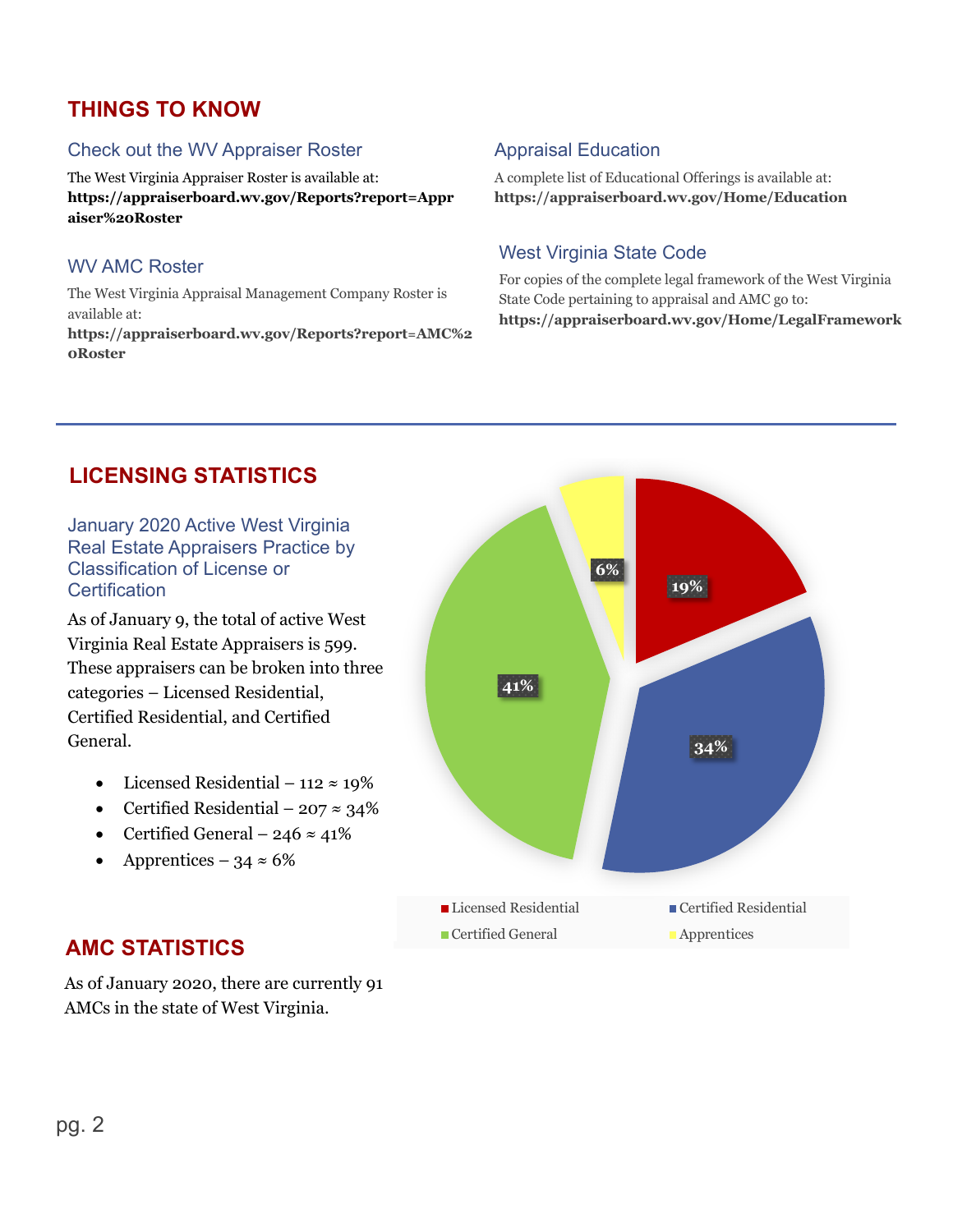### **THINGS TO KNOW**

### Check out the WV Appraiser Roster

The West Virginia Appraiser Roster is available at: **https://appraiserboard.wv.gov/Reports?report=Appr aiser%20Roster**

### WV AMC Roster

The West Virginia Appraisal Management Company Roster is available at: **https://appraiserboard.wv.gov/Reports?report=AMC%2 0Roster**

### Appraisal Education

A complete list of Educational Offerings is available at: **https://appraiserboard.wv.gov/Home/Education**

### West Virginia State Code

For copies of the complete legal framework of the West Virginia State Code pertaining to appraisal and AMC go to: **https://appraiserboard.wv.gov/Home/LegalFramework**

### **LICENSING STATISTICS**

January 2020 Active West Virginia Real Estate Appraisers Practice by Classification of License or **Certification** 

As of January 9, the total of active West Virginia Real Estate Appraisers is 599. These appraisers can be broken into three categories – Licensed Residential, Certified Residential, and Certified General.

- Licensed Residential 112  $\approx$  19%
- Certified Residential  $207 \approx 34\%$
- Certified General 246  $\approx$  41%
- Apprentices 34  $\approx$  6%



### **AMC STATISTICS**

As of January 2020, there are currently 91 AMCs in the state of West Virginia.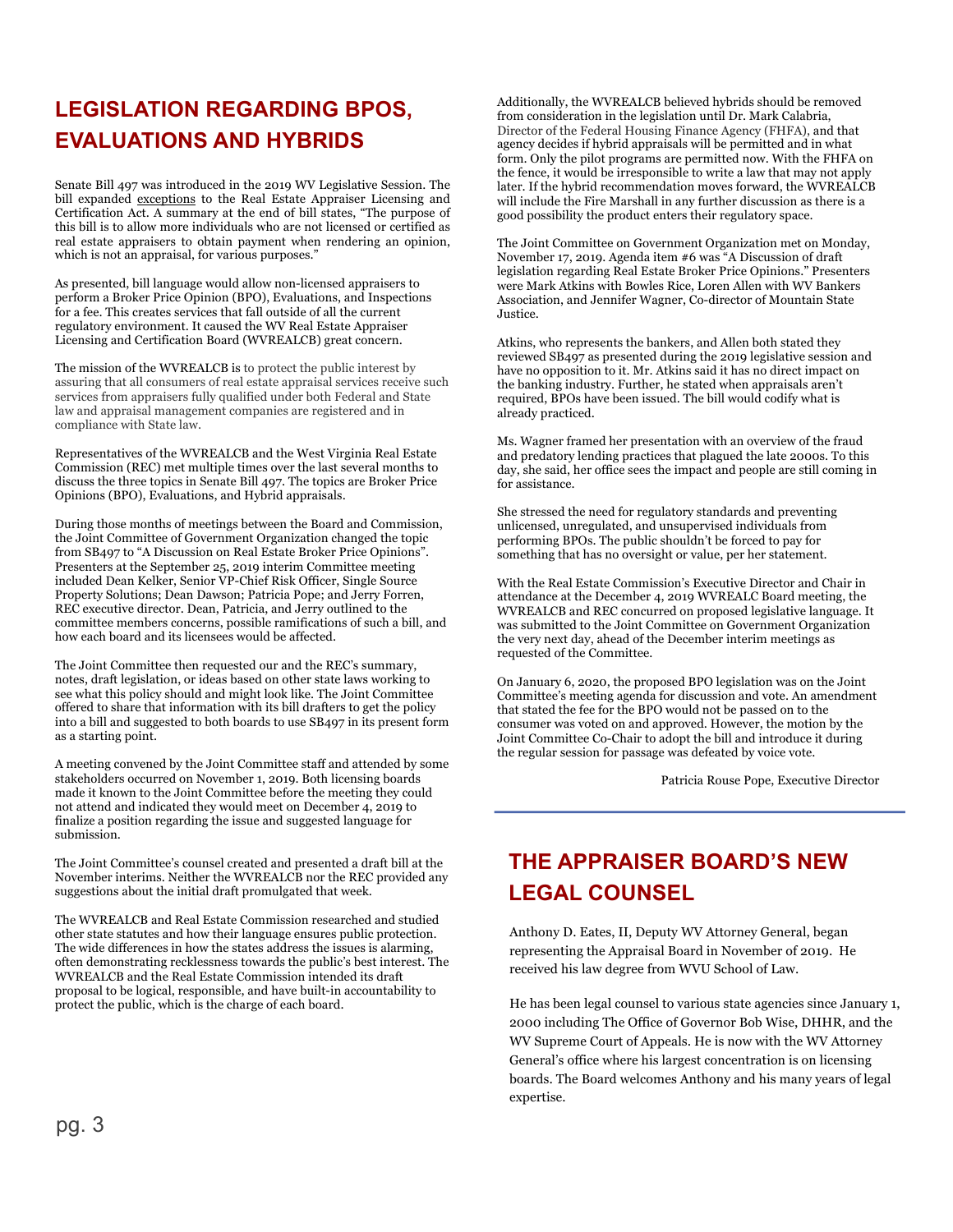# **LEGISLATION REGARDING BPOS, EVALUATIONS AND HYBRIDS**

Senate Bill 497 was introduced in the 2019 WV Legislative Session. The bill expanded exceptions to the Real Estate Appraiser Licensing and Certification Act. A summary at the end of bill states, "The purpose of this bill is to allow more individuals who are not licensed or certified as real estate appraisers to obtain payment when rendering an opinion, which is not an appraisal, for various purposes."

As presented, bill language would allow non-licensed appraisers to perform a Broker Price Opinion (BPO), Evaluations, and Inspections for a fee. This creates services that fall outside of all the current regulatory environment. It caused the WV Real Estate Appraiser Licensing and Certification Board (WVREALCB) great concern.

The mission of the WVREALCB is to protect the public interest by assuring that all consumers of real estate appraisal services receive such services from appraisers fully qualified under both Federal and State law and appraisal management companies are registered and in compliance with State law.

Representatives of the WVREALCB and the West Virginia Real Estate Commission (REC) met multiple times over the last several months to discuss the three topics in Senate Bill 497. The topics are Broker Price Opinions (BPO), Evaluations, and Hybrid appraisals.

During those months of meetings between the Board and Commission, the Joint Committee of Government Organization changed the topic from SB497 to "A Discussion on Real Estate Broker Price Opinions". Presenters at the September 25, 2019 interim Committee meeting included Dean Kelker, Senior VP-Chief Risk Officer, Single Source Property Solutions; Dean Dawson; Patricia Pope; and Jerry Forren, REC executive director. Dean, Patricia, and Jerry outlined to the committee members concerns, possible ramifications of such a bill, and how each board and its licensees would be affected.

The Joint Committee then requested our and the REC's summary, notes, draft legislation, or ideas based on other state laws working to see what this policy should and might look like. The Joint Committee offered to share that information with its bill drafters to get the policy into a bill and suggested to both boards to use SB497 in its present form as a starting point.

A meeting convened by the Joint Committee staff and attended by some stakeholders occurred on November 1, 2019. Both licensing boards made it known to the Joint Committee before the meeting they could not attend and indicated they would meet on December 4, 2019 to finalize a position regarding the issue and suggested language for submission.

The Joint Committee's counsel created and presented a draft bill at the November interims. Neither the WVREALCB nor the REC provided any suggestions about the initial draft promulgated that week.

The WVREALCB and Real Estate Commission researched and studied other state statutes and how their language ensures public protection. The wide differences in how the states address the issues is alarming, often demonstrating recklessness towards the public's best interest. The WVREALCB and the Real Estate Commission intended its draft proposal to be logical, responsible, and have built-in accountability to protect the public, which is the charge of each board.

Additionally, the WVREALCB believed hybrids should be removed from consideration in the legislation until Dr. Mark Calabria, Director of the Federal Housing Finance Agency (FHFA), and that agency decides if hybrid appraisals will be permitted and in what form. Only the pilot programs are permitted now. With the FHFA on the fence, it would be irresponsible to write a law that may not apply later. If the hybrid recommendation moves forward, the WVREALCB will include the Fire Marshall in any further discussion as there is a good possibility the product enters their regulatory space.

The Joint Committee on Government Organization met on Monday, November 17, 2019. Agenda item #6 was "A Discussion of draft legislation regarding Real Estate Broker Price Opinions." Presenters were Mark Atkins with Bowles Rice, Loren Allen with WV Bankers Association, and Jennifer Wagner, Co-director of Mountain State Justice.

Atkins, who represents the bankers, and Allen both stated they reviewed SB497 as presented during the 2019 legislative session and have no opposition to it. Mr. Atkins said it has no direct impact on the banking industry. Further, he stated when appraisals aren't required, BPOs have been issued. The bill would codify what is already practiced.

Ms. Wagner framed her presentation with an overview of the fraud and predatory lending practices that plagued the late 2000s. To this day, she said, her office sees the impact and people are still coming in for assistance.

She stressed the need for regulatory standards and preventing unlicensed, unregulated, and unsupervised individuals from performing BPOs. The public shouldn't be forced to pay for something that has no oversight or value, per her statement.

With the Real Estate Commission's Executive Director and Chair in attendance at the December 4, 2019 WVREALC Board meeting, the WVREALCB and REC concurred on proposed legislative language. It was submitted to the Joint Committee on Government Organization the very next day, ahead of the December interim meetings as requested of the Committee.

On January 6, 2020, the proposed BPO legislation was on the Joint Committee's meeting agenda for discussion and vote. An amendment that stated the fee for the BPO would not be passed on to the consumer was voted on and approved. However, the motion by the Joint Committee Co-Chair to adopt the bill and introduce it during the regular session for passage was defeated by voice vote.

Patricia Rouse Pope, Executive Director

# **THE APPRAISER BOARD'S NEW LEGAL COUNSEL**

Anthony D. Eates, II, Deputy WV Attorney General, began representing the Appraisal Board in November of 2019. He received his law degree from WVU School of Law.

He has been legal counsel to various state agencies since January 1, 2000 including The Office of Governor Bob Wise, DHHR, and the WV Supreme Court of Appeals. He is now with the WV Attorney General's office where his largest concentration is on licensing boards. The Board welcomes Anthony and his many years of legal expertise.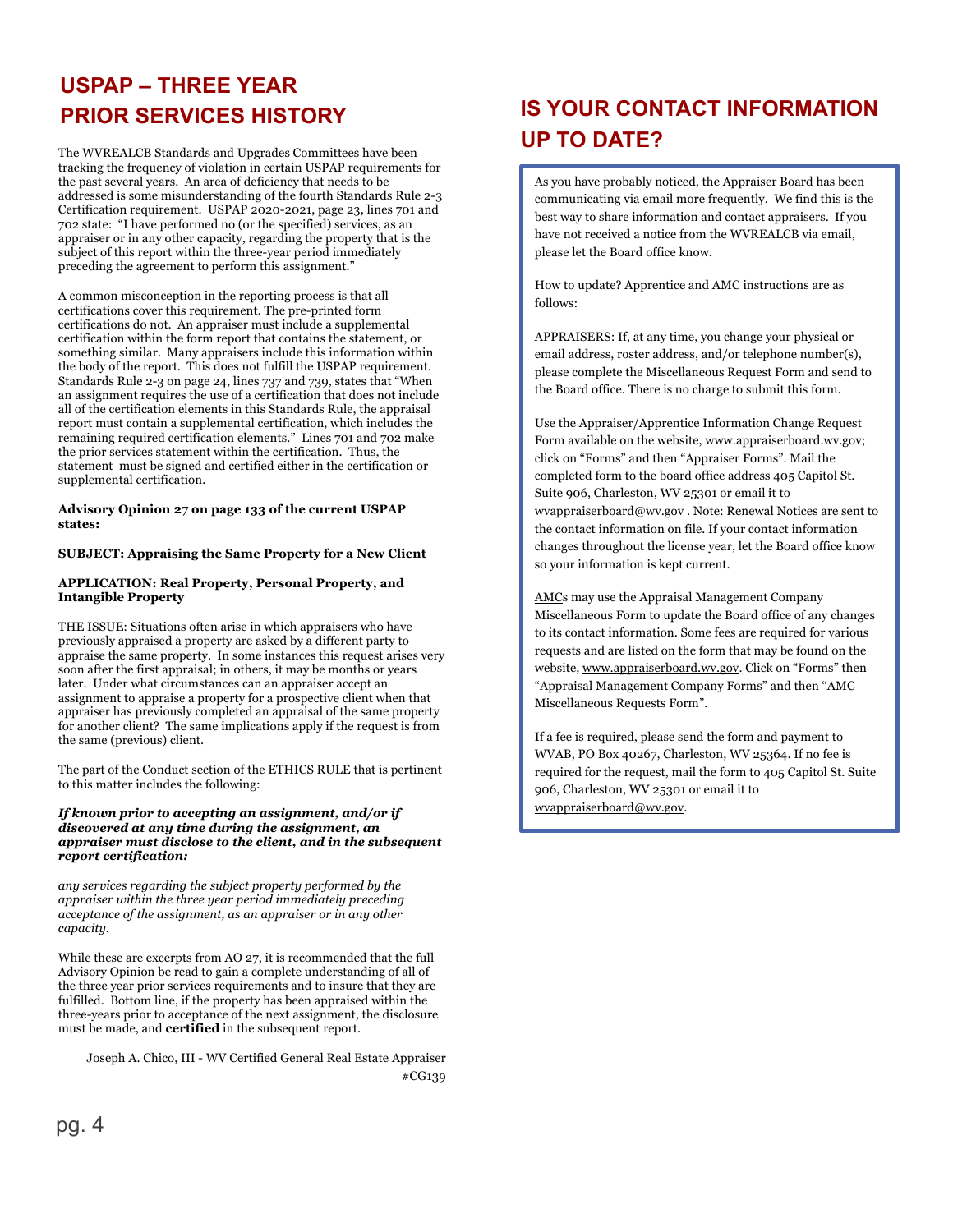## **USPAP – THREE YEAR PRIOR SERVICES HISTORY**

The WVREALCB Standards and Upgrades Committees have been tracking the frequency of violation in certain USPAP requirements for the past several years. An area of deficiency that needs to be addressed is some misunderstanding of the fourth Standards Rule 2-3 Certification requirement. USPAP 2020-2021, page 23, lines 701 and 702 state: "I have performed no (or the specified) services, as an appraiser or in any other capacity, regarding the property that is the subject of this report within the three-year period immediately preceding the agreement to perform this assignment."

A common misconception in the reporting process is that all certifications cover this requirement. The pre-printed form certifications do not. An appraiser must include a supplemental certification within the form report that contains the statement, or something similar. Many appraisers include this information within the body of the report. This does not fulfill the USPAP requirement. Standards Rule 2-3 on page 24, lines 737 and 739, states that "When an assignment requires the use of a certification that does not include all of the certification elements in this Standards Rule, the appraisal report must contain a supplemental certification, which includes the remaining required certification elements." Lines 701 and 702 make the prior services statement within the certification. Thus, the statement must be signed and certified either in the certification or supplemental certification.

#### **Advisory Opinion 27 on page 133 of the current USPAP states:**

#### **SUBJECT: Appraising the Same Property for a New Client**

#### **APPLICATION: Real Property, Personal Property, and Intangible Property**

THE ISSUE: Situations often arise in which appraisers who have previously appraised a property are asked by a different party to appraise the same property. In some instances this request arises very soon after the first appraisal; in others, it may be months or years later. Under what circumstances can an appraiser accept an assignment to appraise a property for a prospective client when that appraiser has previously completed an appraisal of the same property for another client? The same implications apply if the request is from the same (previous) client.

The part of the Conduct section of the ETHICS RULE that is pertinent to this matter includes the following:

#### *If known prior to accepting an assignment, and/or if discovered at any time during the assignment, an appraiser must disclose to the client, and in the subsequent report certification:*

*any services regarding the subject property performed by the appraiser within the three year period immediately preceding acceptance of the assignment, as an appraiser or in any other capacity.*

While these are excerpts from AO 27, it is recommended that the full Advisory Opinion be read to gain a complete understanding of all of the three year prior services requirements and to insure that they are fulfilled. Bottom line, if the property has been appraised within the three-years prior to acceptance of the next assignment, the disclosure must be made, and **certified** in the subsequent report.

Joseph A. Chico, III - WV Certified General Real Estate Appraiser #CG139

# **IS YOUR CONTACT INFORMATION UP TO DATE?**

As you have probably noticed, the Appraiser Board has been communicating via email more frequently. We find this is the best way to share information and contact appraisers. If you have not received a notice from the WVREALCB via email, please let the Board office know.

How to update? Apprentice and AMC instructions are as follows:

APPRAISERS: If, at any time, you change your physical or email address, roster address, and/or telephone number(s), please complete the Miscellaneous Request Form and send to the Board office. There is no charge to submit this form.

Use the Appraiser/Apprentice Information Change Request Form available on the website, www.appraiserboard.wv.gov; click on "Forms" and then "Appraiser Forms". Mail the completed form to the board office address 405 Capitol St. Suite 906, Charleston, WV 25301 or email it to wvappraiserboard@wv.gov . Note: Renewal Notices are sent to the contact information on file. If your contact information changes throughout the license year, let the Board office know so your information is kept current.

AMCs may use the Appraisal Management Company Miscellaneous Form to update the Board office of any changes to its contact information. Some fees are required for various requests and are listed on the form that may be found on the website, www.appraiserboard.wv.gov. Click on "Forms" then "Appraisal Management Company Forms" and then "AMC Miscellaneous Requests Form".

If a fee is required, please send the form and payment to WVAB, PO Box 40267, Charleston, WV 25364. If no fee is required for the request, mail the form to 405 Capitol St. Suite 906, Charleston, WV 25301 or email it to wvappraiserboard@wv.gov.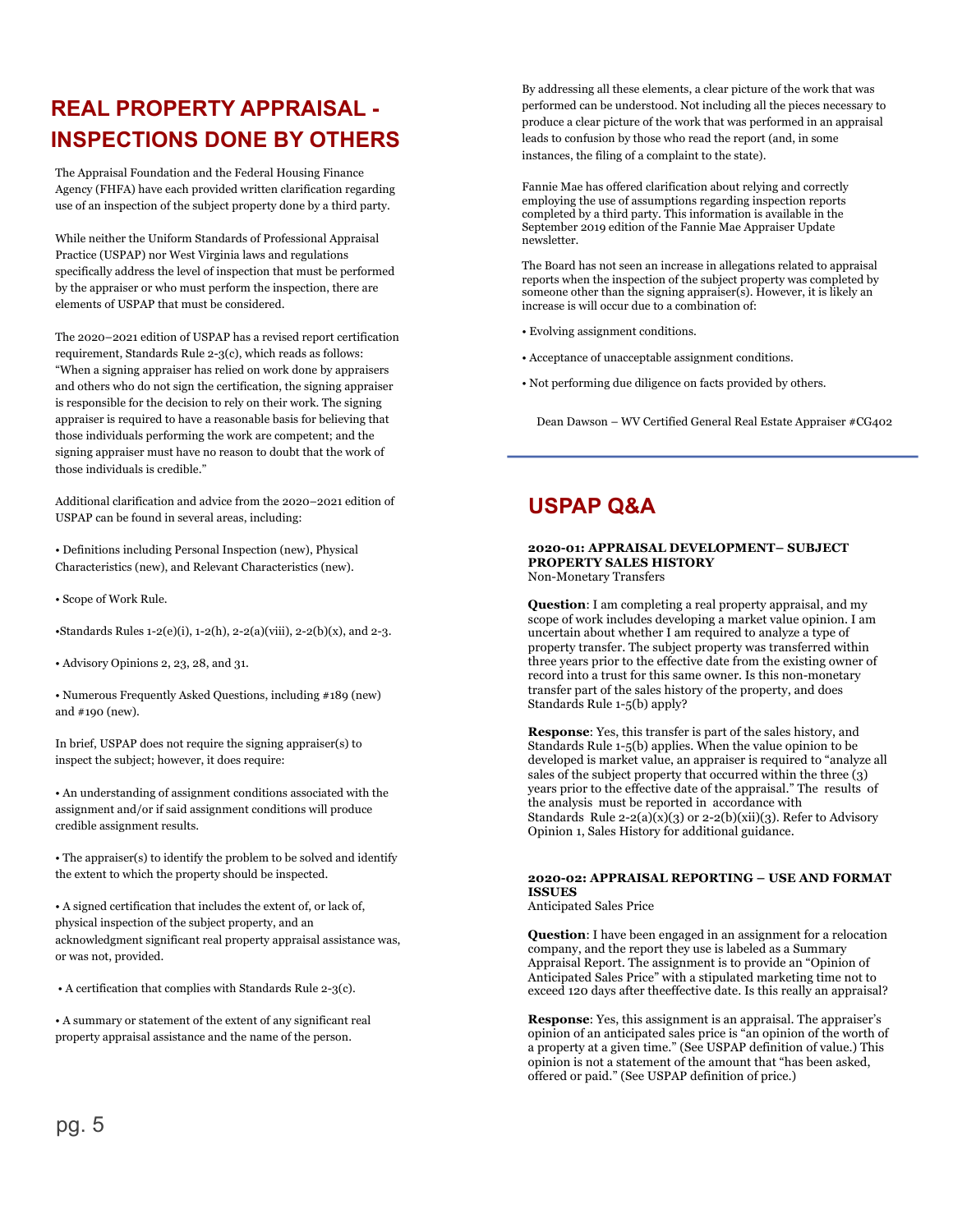## **REAL PROPERTY APPRAISAL - INSPECTIONS DONE BY OTHERS**

The Appraisal Foundation and the Federal Housing Finance Agency (FHFA) have each provided written clarification regarding use of an inspection of the subject property done by a third party.

While neither the Uniform Standards of Professional Appraisal Practice (USPAP) nor West Virginia laws and regulations specifically address the level of inspection that must be performed by the appraiser or who must perform the inspection, there are elements of USPAP that must be considered.

The 2020–2021 edition of USPAP has a revised report certification requirement, Standards Rule 2-3(c), which reads as follows: "When a signing appraiser has relied on work done by appraisers and others who do not sign the certification, the signing appraiser is responsible for the decision to rely on their work. The signing appraiser is required to have a reasonable basis for believing that those individuals performing the work are competent; and the signing appraiser must have no reason to doubt that the work of those individuals is credible."

Additional clarification and advice from the 2020–2021 edition of USPAP can be found in several areas, including:

• Definitions including Personal Inspection (new), Physical Characteristics (new), and Relevant Characteristics (new).

- Scope of Work Rule.
- •Standards Rules 1-2(e)(i), 1-2(h), 2-2(a)(viii), 2-2(b)(x), and 2-3.
- Advisory Opinions 2, 23, 28, and 31.

• Numerous Frequently Asked Questions, including #189 (new) and #190 (new).

In brief, USPAP does not require the signing appraiser(s) to inspect the subject; however, it does require:

• An understanding of assignment conditions associated with the assignment and/or if said assignment conditions will produce credible assignment results.

• The appraiser(s) to identify the problem to be solved and identify the extent to which the property should be inspected.

• A signed certification that includes the extent of, or lack of, physical inspection of the subject property, and an acknowledgment significant real property appraisal assistance was, or was not, provided.

• A certification that complies with Standards Rule 2-3(c).

• A summary or statement of the extent of any significant real property appraisal assistance and the name of the person.

By addressing all these elements, a clear picture of the work that was performed can be understood. Not including all the pieces necessary to produce a clear picture of the work that was performed in an appraisal leads to confusion by those who read the report (and, in some instances, the filing of a complaint to the state).

Fannie Mae has offered clarification about relying and correctly employing the use of assumptions regarding inspection reports completed by a third party. This information is available in the September 2019 edition of the Fannie Mae Appraiser Update newsletter.

The Board has not seen an increase in allegations related to appraisal reports when the inspection of the subject property was completed by someone other than the signing appraiser(s). However, it is likely an increase is will occur due to a combination of:

- Evolving assignment conditions.
- Acceptance of unacceptable assignment conditions.
- Not performing due diligence on facts provided by others.

Dean Dawson – WV Certified General Real Estate Appraiser #CG402

### **USPAP Q&A**

#### **2020-01: APPRAISAL DEVELOPMENT– SUBJECT PROPERTY SALES HISTORY** Non-Monetary Transfers

**Question**: I am completing a real property appraisal, and my scope of work includes developing a market value opinion. I am uncertain about whether I am required to analyze a type of property transfer. The subject property was transferred within three years prior to the effective date from the existing owner of record into a trust for this same owner. Is this non-monetary transfer part of the sales history of the property, and does Standards Rule 1-5(b) apply?

**Response**: Yes, this transfer is part of the sales history, and Standards Rule 1-5(b) applies. When the value opinion to be developed is market value, an appraiser is required to "analyze all sales of the subject property that occurred within the three (3) years prior to the effective date of the appraisal." The results of the analysis must be reported in accordance with Standards Rule  $2-2(a)(x)(3)$  or  $2-2(b)(xii)(3)$ . Refer to Advisory Opinion 1, Sales History for additional guidance.

#### **2020-02: APPRAISAL REPORTING – USE AND FORMAT ISSUES**

Anticipated Sales Price

**Question**: I have been engaged in an assignment for a relocation company, and the report they use is labeled as a Summary Appraisal Report. The assignment is to provide an "Opinion of Anticipated Sales Price" with a stipulated marketing time not to exceed 120 days after theeffective date. Is this really an appraisal?

**Response**: Yes, this assignment is an appraisal. The appraiser's opinion of an anticipated sales price is "an opinion of the worth of a property at a given time." (See USPAP definition of value.) This opinion is not a statement of the amount that "has been asked, offered or paid." (See USPAP definition of price.)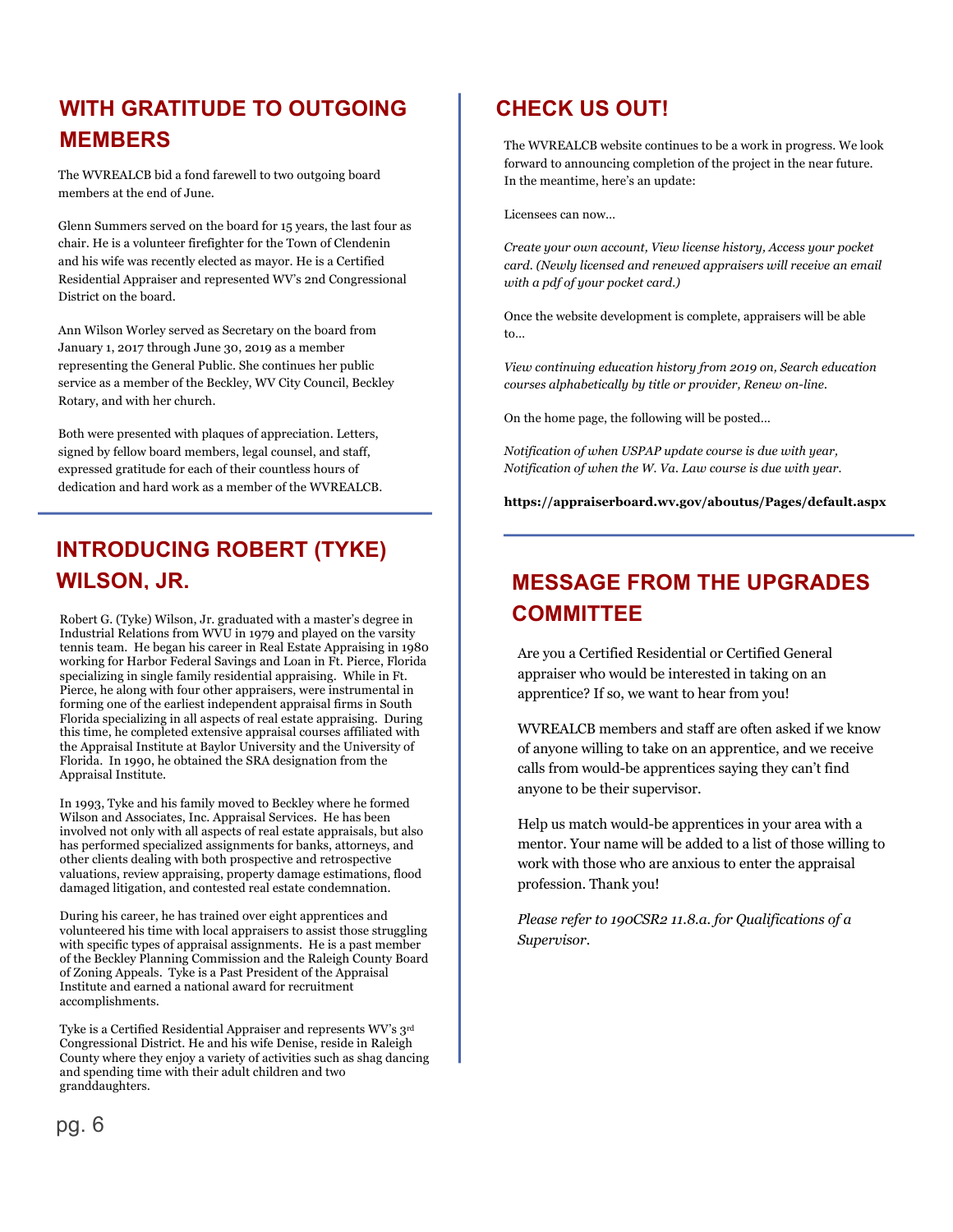## **WITH GRATITUDE TO OUTGOING MEMBERS**

The WVREALCB bid a fond farewell to two outgoing board members at the end of June.

Glenn Summers served on the board for 15 years, the last four as chair. He is a volunteer firefighter for the Town of Clendenin and his wife was recently elected as mayor. He is a Certified Residential Appraiser and represented WV's 2nd Congressional District on the board.

Ann Wilson Worley served as Secretary on the board from January 1, 2017 through June 30, 2019 as a member representing the General Public. She continues her public service as a member of the Beckley, WV City Council, Beckley Rotary, and with her church.

Both were presented with plaques of appreciation. Letters, signed by fellow board members, legal counsel, and staff, expressed gratitude for each of their countless hours of dedication and hard work as a member of the WVREALCB.

# **INTRODUCING ROBERT (TYKE)**

Robert G. (Tyke) Wilson, Jr. graduated with a master's degree in Industrial Relations from WVU in 1979 and played on the varsity tennis team. He began his career in Real Estate Appraising in 1980 working for Harbor Federal Savings and Loan in Ft. Pierce, Florida specializing in single family residential appraising. While in Ft. Pierce, he along with four other appraisers, were instrumental in forming one of the earliest independent appraisal firms in South Florida specializing in all aspects of real estate appraising. During this time, he completed extensive appraisal courses affiliated with the Appraisal Institute at Baylor University and the University of Florida. In 1990, he obtained the SRA designation from the Appraisal Institute.

In 1993, Tyke and his family moved to Beckley where he formed Wilson and Associates, Inc. Appraisal Services. He has been involved not only with all aspects of real estate appraisals, but also has performed specialized assignments for banks, attorneys, and other clients dealing with both prospective and retrospective valuations, review appraising, property damage estimations, flood damaged litigation, and contested real estate condemnation.

During his career, he has trained over eight apprentices and volunteered his time with local appraisers to assist those struggling with specific types of appraisal assignments. He is a past member of the Beckley Planning Commission and the Raleigh County Board of Zoning Appeals. Tyke is a Past President of the Appraisal Institute and earned a national award for recruitment accomplishments.

Tyke is a Certified Residential Appraiser and represents WV's  $3^{\rm rd}$ Congressional District. He and his wife Denise, reside in Raleigh County where they enjoy a variety of activities such as shag dancing and spending time with their adult children and two granddaughters.

# **CHECK US OUT!**

The WVREALCB website continues to be a work in progress. We look forward to announcing completion of the project in the near future. In the meantime, here's an update:

Licensees can now…

*Create your own account, View license history, Access your pocket card. (Newly licensed and renewed appraisers will receive an email with a pdf of your pocket card.)*

Once the website development is complete, appraisers will be able to…

*View continuing education history from 2019 on, Search education courses alphabetically by title or provider, Renew on-line.*

On the home page, the following will be posted…

*Notification of when USPAP update course is due with year, Notification of when the W. Va. Law course is due with year.*

**https://appraiserboard.wv.gov/aboutus/Pages/default.aspx**

# **WILSON, JR. MESSAGE FROM THE UPGRADES COMMITTEE**

Are you a Certified Residential or Certified General appraiser who would be interested in taking on an apprentice? If so, we want to hear from you!

WVREALCB members and staff are often asked if we know of anyone willing to take on an apprentice, and we receive calls from would-be apprentices saying they can't find anyone to be their supervisor.

Help us match would-be apprentices in your area with a mentor. Your name will be added to a list of those willing to work with those who are anxious to enter the appraisal profession. Thank you!

*Please refer to 190CSR2 11.8.a. for Qualifications of a Supervisor.*